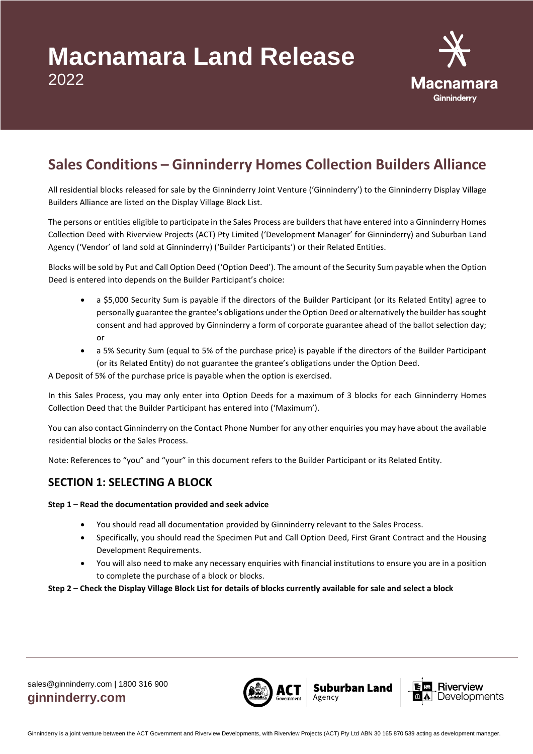

# **Sales Conditions – Ginninderry Homes Collection Builders Alliance**

All residential blocks released for sale by the Ginninderry Joint Venture ('Ginninderry') to the Ginninderry Display Village Builders Alliance are listed on the Display Village Block List.

The persons or entities eligible to participate in the Sales Process are builders that have entered into a Ginninderry Homes Collection Deed with Riverview Projects (ACT) Pty Limited ('Development Manager' for Ginninderry) and Suburban Land Agency ('Vendor' of land sold at Ginninderry) ('Builder Participants') or their Related Entities.

Blocks will be sold by Put and Call Option Deed ('Option Deed'). The amount of the Security Sum payable when the Option Deed is entered into depends on the Builder Participant's choice:

- a \$5,000 Security Sum is payable if the directors of the Builder Participant (or its Related Entity) agree to personally guarantee the grantee's obligations under the Option Deed or alternatively the builder has sought consent and had approved by Ginninderry a form of corporate guarantee ahead of the ballot selection day; or
- a 5% Security Sum (equal to 5% of the purchase price) is payable if the directors of the Builder Participant (or its Related Entity) do not guarantee the grantee's obligations under the Option Deed.

A Deposit of 5% of the purchase price is payable when the option is exercised.

In this Sales Process, you may only enter into Option Deeds for a maximum of 3 blocks for each Ginninderry Homes Collection Deed that the Builder Participant has entered into ('Maximum').

You can also contact Ginninderry on the Contact Phone Number for any other enquiries you may have about the available residential blocks or the Sales Process.

Note: References to "you" and "your" in this document refers to the Builder Participant or its Related Entity.

## **SECTION 1: SELECTING A BLOCK**

#### **Step 1 – Read the documentation provided and seek advice**

- You should read all documentation provided by Ginninderry relevant to the Sales Process.
- Specifically, you should read the Specimen Put and Call Option Deed, First Grant Contract and the Housing Development Requirements.
- You will also need to make any necessary enquiries with financial institutions to ensure you are in a position to complete the purchase of a block or blocks.

#### **Step 2 – Check the Display Village Block List for details of blocks currently available for sale and select a block**



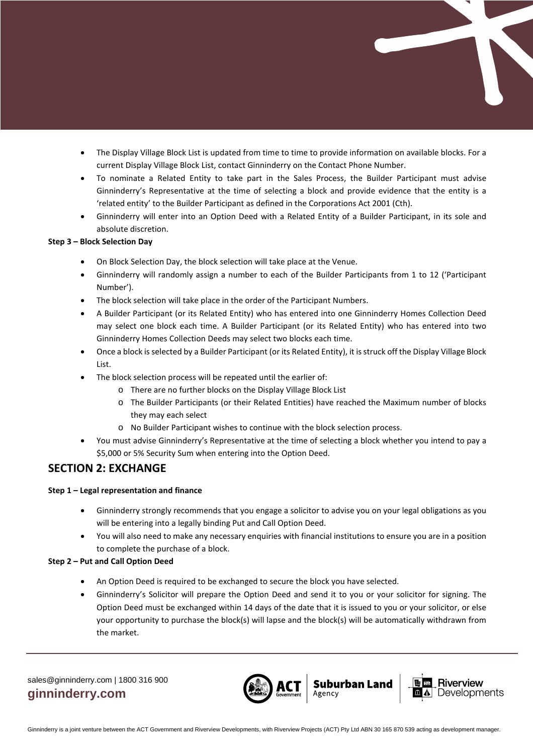- The Display Village Block List is updated from time to time to provide information on available blocks. For a current Display Village Block List, contact Ginninderry on the Contact Phone Number.
- To nominate a Related Entity to take part in the Sales Process, the Builder Participant must advise Ginninderry's Representative at the time of selecting a block and provide evidence that the entity is a 'related entity' to the Builder Participant as defined in the Corporations Act 2001 (Cth).
- Ginninderry will enter into an Option Deed with a Related Entity of a Builder Participant, in its sole and absolute discretion.

#### **Step 3 – Block Selection Day**

- On Block Selection Day, the block selection will take place at the Venue.
- Ginninderry will randomly assign a number to each of the Builder Participants from 1 to 12 ('Participant Number').
- The block selection will take place in the order of the Participant Numbers.
- A Builder Participant (or its Related Entity) who has entered into one Ginninderry Homes Collection Deed may select one block each time. A Builder Participant (or its Related Entity) who has entered into two Ginninderry Homes Collection Deeds may select two blocks each time.
- Once a block is selected by a Builder Participant (or its Related Entity), it is struck off the Display Village Block List.
- The block selection process will be repeated until the earlier of:
	- o There are no further blocks on the Display Village Block List
	- o The Builder Participants (or their Related Entities) have reached the Maximum number of blocks they may each select
	- o No Builder Participant wishes to continue with the block selection process.
- You must advise Ginninderry's Representative at the time of selecting a block whether you intend to pay a \$5,000 or 5% Security Sum when entering into the Option Deed.

## **SECTION 2: EXCHANGE**

#### **Step 1 – Legal representation and finance**

- Ginninderry strongly recommends that you engage a solicitor to advise you on your legal obligations as you will be entering into a legally binding Put and Call Option Deed.
- You will also need to make any necessary enquiries with financial institutions to ensure you are in a position to complete the purchase of a block.

#### **Step 2 – Put and Call Option Deed**

- An Option Deed is required to be exchanged to secure the block you have selected.
- Ginninderry's Solicitor will prepare the Option Deed and send it to you or your solicitor for signing. The Option Deed must be exchanged within 14 days of the date that it is issued to you or your solicitor, or else your opportunity to purchase the block(s) will lapse and the block(s) will be automatically withdrawn from the market.



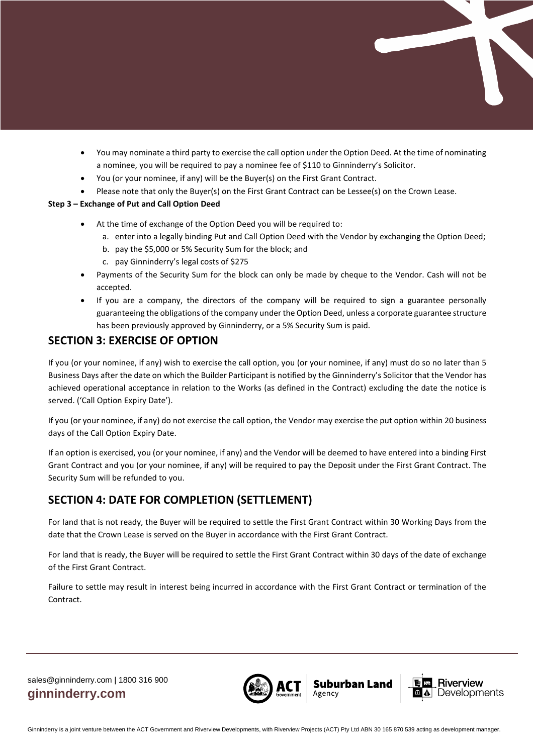- You may nominate a third party to exercise the call option under the Option Deed. At the time of nominating a nominee, you will be required to pay a nominee fee of \$110 to Ginninderry's Solicitor.
- You (or your nominee, if any) will be the Buyer(s) on the First Grant Contract.
- Please note that only the Buyer(s) on the First Grant Contract can be Lessee(s) on the Crown Lease.

#### **Step 3 – Exchange of Put and Call Option Deed**

- At the time of exchange of the Option Deed you will be required to:
	- a. enter into a legally binding Put and Call Option Deed with the Vendor by exchanging the Option Deed;
	- b. pay the \$5,000 or 5% Security Sum for the block; and
	- c. pay Ginninderry's legal costs of \$275
- Payments of the Security Sum for the block can only be made by cheque to the Vendor. Cash will not be accepted.
- If you are a company, the directors of the company will be required to sign a guarantee personally guaranteeing the obligations of the company under the Option Deed, unless a corporate guarantee structure has been previously approved by Ginninderry, or a 5% Security Sum is paid.

## **SECTION 3: EXERCISE OF OPTION**

If you (or your nominee, if any) wish to exercise the call option, you (or your nominee, if any) must do so no later than 5 Business Days after the date on which the Builder Participant is notified by the Ginninderry's Solicitor that the Vendor has achieved operational acceptance in relation to the Works (as defined in the Contract) excluding the date the notice is served. ('Call Option Expiry Date').

If you (or your nominee, if any) do not exercise the call option, the Vendor may exercise the put option within 20 business days of the Call Option Expiry Date.

If an option is exercised, you (or your nominee, if any) and the Vendor will be deemed to have entered into a binding First Grant Contract and you (or your nominee, if any) will be required to pay the Deposit under the First Grant Contract. The Security Sum will be refunded to you.

# **SECTION 4: DATE FOR COMPLETION (SETTLEMENT)**

For land that is not ready, the Buyer will be required to settle the First Grant Contract within 30 Working Days from the date that the Crown Lease is served on the Buyer in accordance with the First Grant Contract.

For land that is ready, the Buyer will be required to settle the First Grant Contract within 30 days of the date of exchange of the First Grant Contract.

Failure to settle may result in interest being incurred in accordance with the First Grant Contract or termination of the Contract.



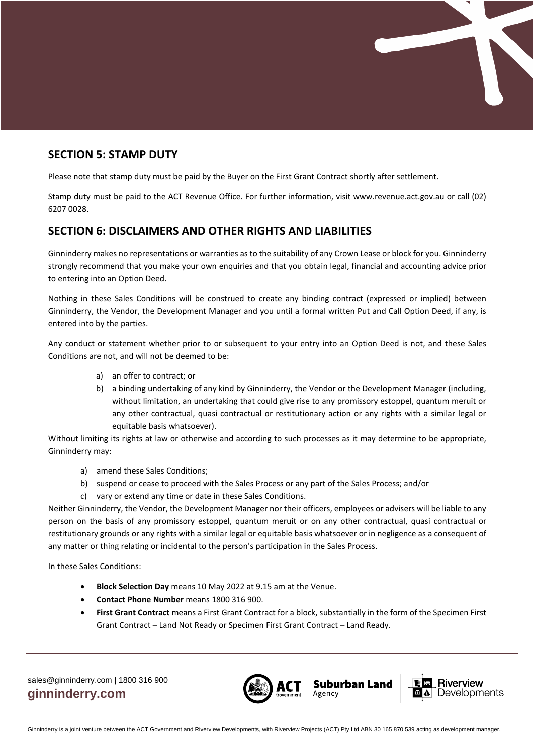

## **SECTION 5: STAMP DUTY**

Please note that stamp duty must be paid by the Buyer on the First Grant Contract shortly after settlement.

Stamp duty must be paid to the ACT Revenue Office. For further information, visit www.revenue.act.gov.au or call (02) 6207 0028.

## **SECTION 6: DISCLAIMERS AND OTHER RIGHTS AND LIABILITIES**

Ginninderry makes no representations or warranties as to the suitability of any Crown Lease or block for you. Ginninderry strongly recommend that you make your own enquiries and that you obtain legal, financial and accounting advice prior to entering into an Option Deed.

Nothing in these Sales Conditions will be construed to create any binding contract (expressed or implied) between Ginninderry, the Vendor, the Development Manager and you until a formal written Put and Call Option Deed, if any, is entered into by the parties.

Any conduct or statement whether prior to or subsequent to your entry into an Option Deed is not, and these Sales Conditions are not, and will not be deemed to be:

- a) an offer to contract; or
- b) a binding undertaking of any kind by Ginninderry, the Vendor or the Development Manager (including, without limitation, an undertaking that could give rise to any promissory estoppel, quantum meruit or any other contractual, quasi contractual or restitutionary action or any rights with a similar legal or equitable basis whatsoever).

Without limiting its rights at law or otherwise and according to such processes as it may determine to be appropriate, Ginninderry may:

- a) amend these Sales Conditions;
- b) suspend or cease to proceed with the Sales Process or any part of the Sales Process; and/or
- c) vary or extend any time or date in these Sales Conditions.

Neither Ginninderry, the Vendor, the Development Manager nor their officers, employees or advisers will be liable to any person on the basis of any promissory estoppel, quantum meruit or on any other contractual, quasi contractual or restitutionary grounds or any rights with a similar legal or equitable basis whatsoever or in negligence as a consequent of any matter or thing relating or incidental to the person's participation in the Sales Process.

In these Sales Conditions:

- **Block Selection Day** means 10 May 2022 at 9.15 am at the Venue.
- **Contact Phone Number** means 1800 316 900.
- **First Grant Contract** means a First Grant Contract for a block, substantially in the form of the Specimen First Grant Contract – Land Not Ready or Specimen First Grant Contract – Land Ready.